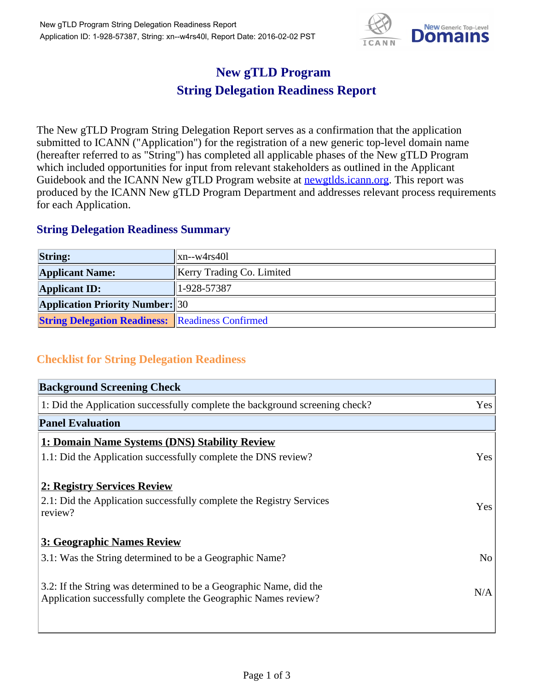

## **New gTLD Program String Delegation Readiness Report**

The New gTLD Program String Delegation Report serves as a confirmation that the application submitted to ICANN ("Application") for the registration of a new generic top-level domain name (hereafter referred to as "String") has completed all applicable phases of the New gTLD Program which included opportunities for input from relevant stakeholders as outlined in the Applicant Guidebook and the ICANN New gTLD Program website at **newgtlds.icann.org**. This report was produced by the ICANN New gTLD Program Department and addresses relevant process requirements for each Application.

## **String Delegation Readiness Summary**

| <b>String:</b>                                          | xn--w4rs401                      |
|---------------------------------------------------------|----------------------------------|
| <b>Applicant Name:</b>                                  | <b>Kerry Trading Co. Limited</b> |
| <b>Applicant ID:</b>                                    | $1-928-57387$                    |
| <b>Application Priority Number:</b> 30                  |                                  |
| <b>String Delegation Readiness:</b> Readiness Confirmed |                                  |

## **Checklist for String Delegation Readiness**

| <b>Background Screening Check</b>                                                                                                    |                |
|--------------------------------------------------------------------------------------------------------------------------------------|----------------|
| 1: Did the Application successfully complete the background screening check?                                                         | Yes            |
| <b>Panel Evaluation</b>                                                                                                              |                |
| 1: Domain Name Systems (DNS) Stability Review                                                                                        |                |
| 1.1: Did the Application successfully complete the DNS review?                                                                       | Yes            |
| 2: Registry Services Review<br>2.1: Did the Application successfully complete the Registry Services<br>review?                       | Yes            |
| 3: Geographic Names Review                                                                                                           |                |
| 3.1: Was the String determined to be a Geographic Name?                                                                              | N <sub>o</sub> |
| 3.2: If the String was determined to be a Geographic Name, did the<br>Application successfully complete the Geographic Names review? | N/A            |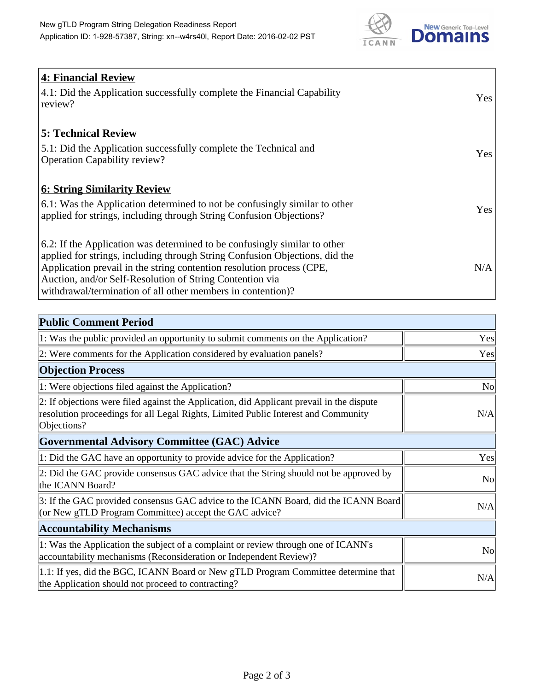

| 4: Financial Review<br>4.1: Did the Application successfully complete the Financial Capability<br>review?                                                                                                                                                                                                                                                    | Yes |
|--------------------------------------------------------------------------------------------------------------------------------------------------------------------------------------------------------------------------------------------------------------------------------------------------------------------------------------------------------------|-----|
| <b>5: Technical Review</b><br>5.1: Did the Application successfully complete the Technical and<br><b>Operation Capability review?</b>                                                                                                                                                                                                                        | Yes |
| <b>6: String Similarity Review</b><br>$\vert$ 6.1: Was the Application determined to not be confusingly similar to other<br>applied for strings, including through String Confusion Objections?                                                                                                                                                              | Yes |
| 6.2: If the Application was determined to be confusingly similar to other<br>applied for strings, including through String Confusion Objections, did the<br>Application prevail in the string contention resolution process (CPE,<br>Auction, and/or Self-Resolution of String Contention via<br>withdrawal/termination of all other members in contention)? | N/A |

| <b>Public Comment Period</b>                                                                                                                                                                   |                |
|------------------------------------------------------------------------------------------------------------------------------------------------------------------------------------------------|----------------|
| 1: Was the public provided an opportunity to submit comments on the Application?                                                                                                               | Yes            |
| 2: Were comments for the Application considered by evaluation panels?                                                                                                                          | Yes            |
| <b>Objection Process</b>                                                                                                                                                                       |                |
| 1: Were objections filed against the Application?                                                                                                                                              | <b>No</b>      |
| 2: If objections were filed against the Application, did Applicant prevail in the dispute<br>resolution proceedings for all Legal Rights, Limited Public Interest and Community<br>Objections? | N/A            |
| Governmental Advisory Committee (GAC) Advice                                                                                                                                                   |                |
| 1: Did the GAC have an opportunity to provide advice for the Application?                                                                                                                      | Yes            |
| 2: Did the GAC provide consensus GAC advice that the String should not be approved by<br>the ICANN Board?                                                                                      | <b>No</b>      |
| 3: If the GAC provided consensus GAC advice to the ICANN Board, did the ICANN Board<br>(or New gTLD Program Committee) accept the GAC advice?                                                  | N/A            |
| <b>Accountability Mechanisms</b>                                                                                                                                                               |                |
| 1: Was the Application the subject of a complaint or review through one of ICANN's<br>accountability mechanisms (Reconsideration or Independent Review)?                                       | N <sub>0</sub> |
| 1.1: If yes, did the BGC, ICANN Board or New gTLD Program Committee determine that<br>the Application should not proceed to contracting?                                                       | N/A            |